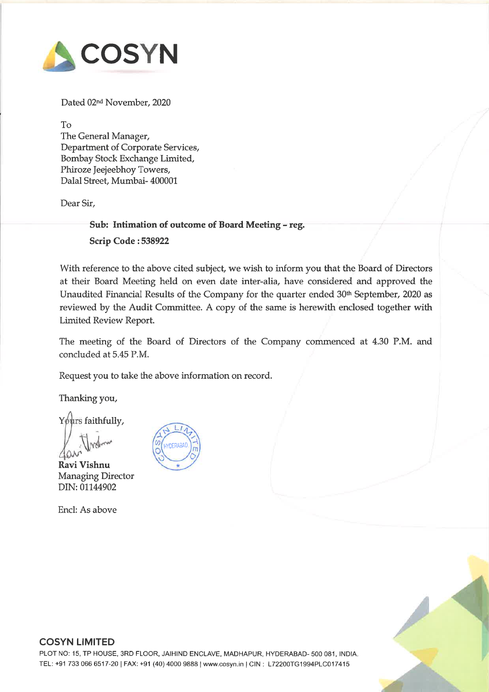

Dated 02nd November, 2020

To

The General Manager, Department of Corporate Services, Bombay Stock Exchange Limited, Phiroze Jeejeebhoy Towers, Dalal Street, Mumbai- 400001

Dear Sir,

Sub: Intimation of outcome of Board Meeting - reg.

Scrip Code : <sup>538922</sup>

With reference to the above cited subject, we wish to inform you that the Board of Directors at their Board Meeting held on even date inter-alia, have considered and approved the Unaudited Financial Results of the Company for the quarter ended 30<sup>th</sup> September, 2020 as reviewed by the Audit Committee. <sup>A</sup> copy of the same is herewith enclosed together with Limited Review Report.

The meeting of the Board of Directors of the Company commenced at 4.30 P.M. and concluded at 5.45 P.M.

Request you to take the above information on record.

Thanking you,

Yours faithfully,

 $\bigvee$  ?

Ravi Vishnu Managing Director DIN: 01144902

Encl: As above



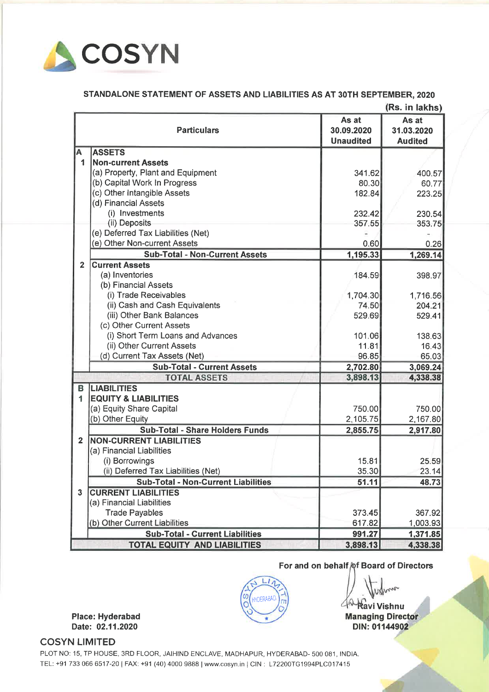

## STANDALONE STATEMENT OF ASSETS AND LIABILITIES AS AT 30TH SEPTEMBER, <sup>2020</sup>

|                         |                                            |                                         | (Rs. in lakhs)                        |
|-------------------------|--------------------------------------------|-----------------------------------------|---------------------------------------|
|                         | <b>Particulars</b>                         | As at<br>30.09.2020<br><b>Unaudited</b> | As at<br>31.03.2020<br><b>Audited</b> |
| А                       | <b>ASSETS</b>                              |                                         |                                       |
| 1                       | <b>Non-current Assets</b>                  |                                         |                                       |
|                         | (a) Property, Plant and Equipment          | 341.62                                  | 400.57                                |
|                         | (b) Capital Work In Progress               | 80.30                                   | 60.77                                 |
|                         | (c) Other Intangible Assets                | 182.84                                  | 223.25                                |
|                         | (d) Financial Assets                       |                                         |                                       |
|                         | (i) Investments                            | 232.42                                  | 230.54                                |
|                         | (ii) Deposits                              | 357.55                                  | 353.75                                |
|                         | (e) Deferred Tax Liabilities (Net)         |                                         |                                       |
|                         | (e) Other Non-current Assets               | 0.60                                    | 0.26                                  |
|                         | <b>Sub-Total - Non-Current Assets</b>      | 1,195.33                                | 1,269.14                              |
| $\overline{2}$          | <b>Current Assets</b>                      |                                         |                                       |
|                         | (a) Inventories                            | 184.59                                  | 398.97                                |
|                         | (b) Financial Assets                       |                                         |                                       |
|                         | (i) Trade Receivables                      | 1,704.30                                | 1,716.56                              |
|                         | (ii) Cash and Cash Equivalents             | 74.50                                   | 204.21                                |
|                         | (iii) Other Bank Balances                  | 529.69                                  | 529.41                                |
|                         | (c) Other Current Assets                   |                                         |                                       |
|                         | (i) Short Term Loans and Advances          | 101.06                                  | 138.63                                |
|                         | (ii) Other Current Assets                  | 11.81                                   | 16.43                                 |
|                         | (d) Current Tax Assets (Net)               | 96.85                                   | 65.03                                 |
|                         | <b>Sub-Total - Current Assets</b>          | 2,702.80                                | 3,069.24                              |
|                         | <b>TOTAL ASSETS</b>                        | 3,898.13                                | 4,338.38                              |
| в                       | <b>LIABILITIES</b>                         |                                         |                                       |
| 1                       | <b>EQUITY &amp; LIABILITIES</b>            |                                         |                                       |
|                         | (a) Equity Share Capital                   | 750.00                                  | 750.00                                |
|                         | (b) Other Equity                           | 2,105.75                                | 2,167.80                              |
|                         | <b>Sub-Total - Share Holders Funds</b>     | 2,855.75                                | 2,917.80                              |
| $\overline{2}$          | <b>NON-CURRENT LIABILITIES</b>             |                                         |                                       |
|                         | (a) Financial Liabilities                  |                                         |                                       |
|                         | (i) Borrowings                             | 15.81                                   | 25.59                                 |
|                         | (ii) Deferred Tax Liabilities (Net)        | 35.30                                   | 23.14                                 |
|                         | <b>Sub-Total - Non-Current Liabilities</b> | 51.11                                   | 48.73                                 |
| $\overline{\mathbf{3}}$ | <b>CURRENT LIABILITIES</b>                 |                                         |                                       |
|                         | (a) Financial Liabilities                  |                                         |                                       |
|                         | <b>Trade Payables</b>                      | 373.45                                  | 367.92                                |
|                         | (b) Other Current Liabilities              | 617.82                                  | 1,003.93                              |
|                         | <b>Sub-Total - Current Liabilities</b>     | 991.27                                  | 1,371.85                              |
|                         | <b>TOTAL EQUITY AND LIABILITIES</b>        | 3,898.13                                | 4,338.38                              |

For and on behalf of Board of Directors

 $40$ **Ravi Vishnu** 

**Managing Director** DIN: 01144902

Place: Hyderabad Date: 02.11.2020

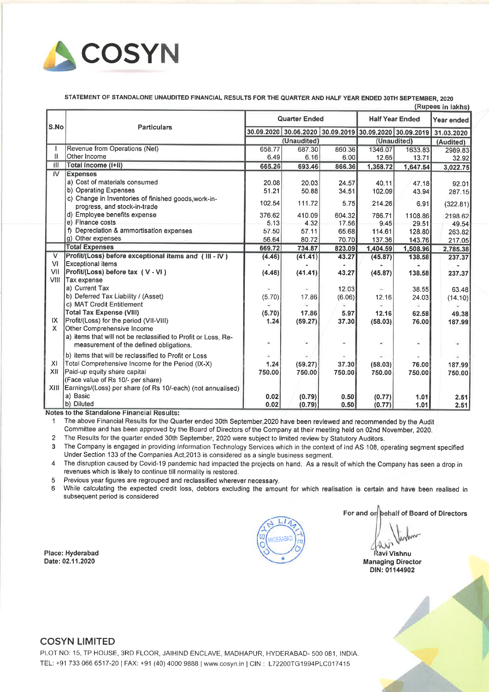

STATEMENT OF STANDALONE UNAUDITED FINANCIAL RESULTS FOR THE QUARTER AND HALF YEAR ENDED 30TH SEPTEMBER, <sup>2020</sup>

|                | (Rupees in lakhs)                                                     |                      |             |        |                        |          |                                                        |
|----------------|-----------------------------------------------------------------------|----------------------|-------------|--------|------------------------|----------|--------------------------------------------------------|
| S.No           | <b>Particulars</b>                                                    | <b>Quarter Ended</b> |             |        | <b>Half Year Ended</b> |          | Year ended                                             |
|                |                                                                       | 30.09.2020           |             |        |                        |          | 30.06.2020 30.09.2019 30.09.2020 30.09.2019 31.03.2020 |
|                |                                                                       |                      | (Unaudited) |        | (Unaudited)            |          | (Audited)                                              |
|                | Revenue from Operations (Net)                                         | 658.77               | 687.30      | 860.36 | 1346.07                | 1633.83  | 2989.83                                                |
| II.            | Other Income                                                          | 6.49                 | 6.16        | 6.00   | 12.65                  | 13.71    | 32.92                                                  |
| Ш              | Total Income (I+II)                                                   | 665.26               | 693.46      | 866.36 | 1,358.72               | 1,647.54 | 3,022.75                                               |
| ΪV             | <b>Expenses</b>                                                       |                      |             |        |                        |          |                                                        |
|                | a) Cost of materials consumed                                         | 20.08                | 20.03       | 24.57  | 40.11                  | 47.18    | 92.01                                                  |
|                | b) Operating Expenses                                                 | 51.21                | 50.88       | 34.51  | 102.09                 | 43.94    | 287.15                                                 |
|                | c) Change in Inventories of finished goods, work-in-                  | 102.54               | 111.72      | 5.75   | 214.26                 | 6.91     | (322.81)                                               |
|                | progress, and stock-in-trade                                          |                      |             |        |                        |          |                                                        |
|                | d) Employee benefits expense                                          | 376.62               | 410.09      | 604.32 | 786.71                 | 1108.86  | 2198.62                                                |
|                | e) Finance costs                                                      | 5.13                 | 4.32        | 17.56  | 9.45                   | 29.51    | 49.54                                                  |
|                | f) Depreciation & ammortisation expenses                              | 57.50                | 57.11       | 65.68  | 114.61                 | 128,80   | 263.82                                                 |
|                | g) Other expenses                                                     | 56.64                | 80.72       | 70.70  | 137.36                 | 143.76   | 217.05                                                 |
|                | <b>Total Expenses</b>                                                 | 669.72               | 734.87      | 823.09 | 1,404.59               | 1,508.96 | 2,785.38                                               |
| $\overline{V}$ | Profit/(Loss) before exceptional items and (III - IV)                 | (4.46)               | (41.41)     | 43.27  | (45.87)                | 138.58   | 237.37                                                 |
| <b>VI</b>      | <b>Exceptional items</b>                                              |                      |             |        |                        |          |                                                        |
| VII            | Profit/(Loss) before tax (V-VI)                                       | (4.46)               | (41.41)     | 43.27  | (45.87)                | 138.58   | 237.37                                                 |
| VIII           | Tax expense                                                           |                      |             |        |                        |          |                                                        |
|                | a) Current Tax                                                        | $\blacksquare$       |             | 12.03  | i.                     | 38.55    | 63.48                                                  |
|                | b) Deferred Tax Liability / (Asset)                                   | (5.70)               | 17.86       | (6.06) | 12.16                  | 24.03    | (14.10)                                                |
|                | c) MAT Credit Entitlement                                             | G.                   |             |        |                        |          |                                                        |
|                | <b>Total Tax Expense (VIII)</b>                                       | (5.70)               | 17.86       | 5.97   | 12.16                  | 62.58    | 49.38                                                  |
| IX.<br>X.      | Profit/(Loss) for the period (VII-VIII)<br>Other Comprehensive Income | 1.24                 | (59.27)     | 37.30  | (58.03)                | 76.00    | 187.99                                                 |
|                | a) items that will not be reclassified to Profit or Loss, Re-         |                      |             |        |                        |          |                                                        |
|                | measurement of the defined obligations.                               | ¥.                   |             | ٠      |                        |          |                                                        |
|                |                                                                       |                      |             |        |                        |          |                                                        |
|                | b) items that will be reclassified to Profit or Loss                  |                      |             |        |                        |          |                                                        |
| XL             | Total Comprehensive Income for the Period (IX-X)                      | 1.24                 | (59.27)     | 37.30  | (58.03)                | 76.00    | 187.99                                                 |
| XII            | Paid-up equity share capital                                          | 750.00               | 750.00      | 750.00 | 750.00                 | 750.00   | 750.00                                                 |
|                | (Face value of Rs 10/- per share)                                     |                      |             |        |                        |          |                                                        |
| XIII.          | Earnings/(Loss) per share (of Rs 10/-each) (not annualised)           |                      |             |        |                        |          |                                                        |
|                | a) Basic<br>b) Diluted                                                | 0.02                 | (0.79)      | 0.50   | (0.77)                 | 1.01     | 2.51                                                   |
|                |                                                                       | 0.02                 | (0.79)      | 0.50   | (0.77)                 | 1.01     | 2.51                                                   |

Notes to the Standalone Financial Results:

<sup>1</sup> The above Financial Results for the Quarter ended 30th September,2020 have been reviewed and recommended by the Audit Committee and has been approve<sup>d</sup> by the Board of Directors of the Company at their meeting held on 02nd November, 2020.

<sup>2</sup> The Results for the quarter ended 30th September, <sup>2020</sup> were subject to limited review by Statutory Auditors.

<sup>3</sup> The Company is engage<sup>d</sup> in providing Information Technology Services which in the context of Ind AS 108, operating segmen<sup>t</sup> specified Under Section <sup>133</sup> of the Companies Act,2013 is considered as <sup>a</sup> single business segment.

<sup>4</sup> The disruption caused by Covid-19 pandemic had impacted the projects on hand. As <sup>a</sup> result of which the Company has seen <sup>a</sup> drop in revenues which is likely to continue till normality is restored.

<sup>5</sup> Previous year figures are regroupe<sup>d</sup> and reclassified wherever necessary.

<sup>6</sup> While calculating the expected credit loss, debtors excluding the amount for which realisation is certain and have been realised in subsequent period is considered

Place: Hyderabad Date: 02.11.2020

For and on behalf of Board of Directors

avl Vishnu Managing Director DIN: 01144902

#### COSYN LIMITED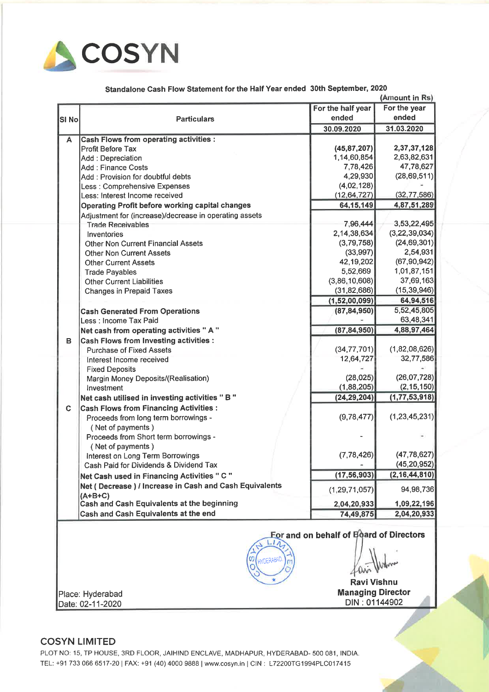

Standalone Cash Flow Statement for the Half Year ended 30th September, <sup>2020</sup>

|                                                        |                                                         |                   | (Amount in Rs)   |  |  |
|--------------------------------------------------------|---------------------------------------------------------|-------------------|------------------|--|--|
|                                                        |                                                         | For the half year | For the year     |  |  |
| <b>SI No</b>                                           | <b>Particulars</b>                                      | ended             | ended            |  |  |
|                                                        |                                                         | 30.09.2020        | 31.03.2020       |  |  |
| A                                                      | <b>Cash Flows from operating activities :</b>           |                   |                  |  |  |
|                                                        | <b>Profit Before Tax</b>                                | (45, 87, 207)     | 2,37,37,128      |  |  |
|                                                        | Add: Depreciation                                       | 1,14,60,854       | 2,63,82,631      |  |  |
|                                                        | <b>Add: Finance Costs</b>                               | 7,78,426          | 47,78,627        |  |  |
|                                                        | Add: Provision for doubtful debts                       | 4,29,930          | (28, 69, 511)    |  |  |
|                                                        | Less : Comprehensive Expenses                           | (4,02,128)        |                  |  |  |
|                                                        | Less: Interest Income received                          | (12, 64, 727)     | (32, 77, 586)    |  |  |
|                                                        | Operating Profit before working capital changes         | 64, 15, 149       | 4,87,51,289      |  |  |
|                                                        | Adjustment for (increase)/decrease in operating assets  |                   |                  |  |  |
|                                                        | <b>Trade Receivables</b>                                | 7,96,444          | 3,53,22,495      |  |  |
|                                                        | Inventories                                             | 2,14,38,634       | (3, 22, 39, 034) |  |  |
|                                                        | <b>Other Non Current Financial Assets</b>               | (3,79,758)        | (24, 69, 301)    |  |  |
|                                                        | <b>Other Non Current Assets</b>                         | (33,997)          | 2,54,931         |  |  |
|                                                        | <b>Other Current Assets</b>                             | 42,19,202         | (67, 90, 942)    |  |  |
|                                                        | <b>Trade Payables</b>                                   | 5,52,669          | 1,01,87,151      |  |  |
|                                                        | <b>Other Current Liabilities</b>                        | (3,86,10,608)     | 37,69,163        |  |  |
|                                                        | <b>Changes in Prepaid Taxes</b>                         | (31, 82, 686)     | (15, 39, 946)    |  |  |
|                                                        |                                                         | (1,52,00,099)     | 64,94,516        |  |  |
|                                                        | <b>Cash Generated From Operations</b>                   | (87, 84, 950)     | 5,52,45,805      |  |  |
|                                                        | Less : Income Tax Paid                                  |                   | 63,48,341        |  |  |
|                                                        | Net cash from operating activities " A "                | (87, 84, 950)     | 4,88,97,464      |  |  |
| в                                                      | <b>Cash Flows from Investing activities :</b>           |                   |                  |  |  |
|                                                        | <b>Purchase of Fixed Assets</b>                         | (34, 77, 701)     | (1,82,08,626)    |  |  |
|                                                        | Interest Income received                                | 12,64,727         | 32,77,586        |  |  |
|                                                        | <b>Fixed Deposits</b>                                   |                   |                  |  |  |
|                                                        | Margin Money Deposits/(Realisation)                     | (28, 025)         | (26,07,728)      |  |  |
|                                                        | Investment                                              | (1,88,205)        | (2, 15, 150)     |  |  |
|                                                        | Net cash utilised in investing activities "B"           | (24, 29, 204)     | (1, 77, 53, 918) |  |  |
| C                                                      | <b>Cash Flows from Financing Activities:</b>            |                   |                  |  |  |
|                                                        | Proceeds from long term borrowings -                    | (9,78,477)        | (1, 23, 45, 231) |  |  |
|                                                        | (Net of payments)                                       |                   |                  |  |  |
|                                                        | Proceeds from Short term borrowings -                   |                   |                  |  |  |
|                                                        | (Net of payments)                                       |                   |                  |  |  |
|                                                        | Interest on Long Term Borrowings                        | (7, 78, 426)      | (47, 78, 627)    |  |  |
|                                                        | Cash Paid for Dividends & Dividend Tax                  |                   | (45, 20, 952)    |  |  |
|                                                        | Net Cash used in Financing Activities " C "             | (17, 56, 903)     | (2, 16, 44, 810) |  |  |
|                                                        | Net (Decrease) / Increase in Cash and Cash Equivalents  |                   |                  |  |  |
|                                                        |                                                         | (1, 29, 71, 057)  | 94,98,736        |  |  |
|                                                        | $(A+B+C)$<br>Cash and Cash Equivalents at the beginning | 2,04,20,933       | 1,09,22,196      |  |  |
|                                                        | Cash and Cash Equivalents at the end                    | 74,49,875         | 2,04,20,933      |  |  |
|                                                        |                                                         |                   |                  |  |  |
| For and on behalf of Board of Directors<br>$L1 \wedge$ |                                                         |                   |                  |  |  |

<sup>0</sup>?g? fl?\ltAA\ll<O <sup>m</sup> ? <sup>0</sup> . <sup>0</sup> Ravi Vishnu

**Place: Hyderabad** Managing Director

/

Date: 02-11-2020 Date: 02-11-2020

#### COSYN LIMITED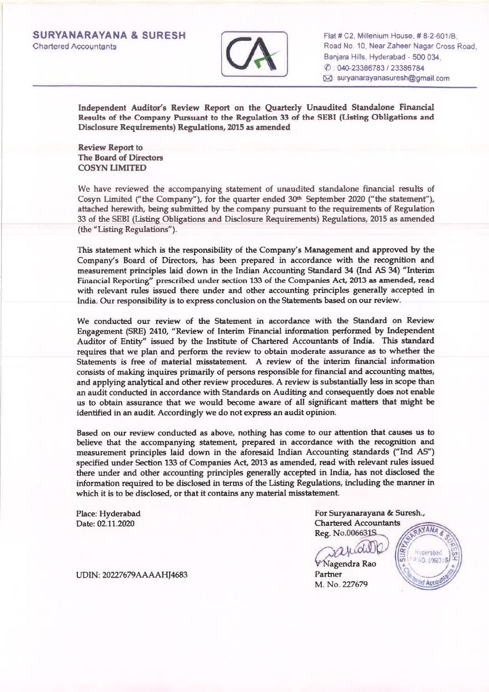

Flat# C2, Millenium House, # 8-2-601/8, Road No. 10, Near Zaheer Nagar Cross Road. Banjara Hills, Hyderabad - <sup>500</sup> 034, (l) : 040-23386783 <sup>I</sup> <sup>23386</sup> 784 IBl: suryanarayanasuresh@gmail.com

Independent Auditor's Review Report on the Quarterly Unaudited Standalone Financial Results of the Company Pursuant to the Regulation <sup>33</sup> of the SEBI (Listing Obligations and Disclosure Requirements) Regulations, <sup>2015</sup> as amended

Review Report to The Board of Directors COSYN LIMITED

We have reviewed the accompanying statement of unaudited standalone financial results of Cosyn Limited ("the Company"), for the quarter ended  $30<sup>th</sup>$  September 2020 ("the statement"), attached herewith, being submitted by the company pursuan<sup>t</sup> to the requirements of Regulation <sup>33</sup> of the SEBI (Listing Obligations and Disclosure Requirements) Regulations, <sup>2015</sup> as amended (the "Listing Regulations").

This statement which is the responsibility of the Company's Management and approved by the Company's Board of Directors, has been prepared in accordance with the recognition and measurement principles laid down in the Indian Accounting Standard <sup>34</sup> (Ind AS 34) "Interim Financial Reporting" prescribed under section <sup>133</sup> of the Companies Act, <sup>2013</sup> as amended, read with relevant rules issued there under and other accounting principles generally accepted in India. Our responsibility is to express conclusion on the Statements based on our review.

We conducted our review of the Statement in accordance with the Standard on Review Engagement (SRE) 2410, "Review of Interim Financial information performed by Independent Auditor of Entity" issued by the Institute of Chartered Accountants of India. This standard requires that we <sup>p</sup>lan and perform the review to obtain moderate assurance as to whether the Statements is free of material misstatement. A review of the interim financial information consists of making inquires primarily of persons responsible for financial and accounting mattes, and applying analytical and other review procedures. <sup>A</sup> review is substantially less in scope than an audit conducted in accordance with Standards on Auditing and consequently does not enable us to obtain assurance that we would become aware of all significant matters that might be identified in an audit. Accordingly we do not express an audit opinion.

Based on our review conducted as above, nothing has come to our attention that causes us to believe that the accompanying statement, prepared in accordance with the recognition and measurement principles laid down in the aforesaid Indian Accounting standards ("Ind AS") specified under Section <sup>133</sup> of Companies Act, <sup>2013</sup> as amended, read with relevant rules issued there under and other accounting principles generally accepted in India, has not disclosed the information required to be disclosed in terms of the Listing Regulations, including the manner in which it is to be disclosed, or that it contains any material misstatement.

Place: Hyderabad Date: 02.11.2020

For Suryanarayana & Suresh., Chartered Accountants **NYANA** Reg. No.006631S

> H.derabad P NO. 0066315

agendra Rao Partner M. No. 227679

UDIN: 20227679AAAAHJ4683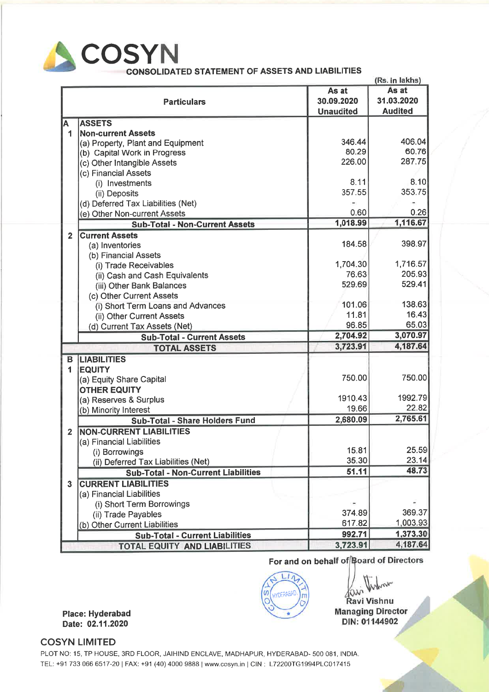

CONSOLIDATED STATEMENT OF ASSETS AND LIABILITIES

|                         |                                            |                  | (Rs. in lakhs) |
|-------------------------|--------------------------------------------|------------------|----------------|
|                         |                                            | As at            | As at          |
|                         | <b>Particulars</b>                         | 30.09.2020       | 31.03.2020     |
|                         |                                            | <b>Unaudited</b> | <b>Audited</b> |
| A                       | <b>ASSETS</b>                              |                  |                |
| 1                       | <b>Non-current Assets</b>                  |                  |                |
|                         | (a) Property, Plant and Equipment          | 346.44           | 406.04         |
|                         | (b) Capital Work in Progress               | 80.29            | 60.76          |
|                         | (c) Other Intangible Assets                | 226.00           | 287.75         |
|                         | (c) Financial Assets                       |                  |                |
|                         | (i) Investments                            | 8.11             | 8.10           |
|                         | (ii) Deposits                              | 357.55           | 353.75         |
|                         | (d) Deferred Tax Liabilities (Net)         |                  |                |
|                         | (e) Other Non-current Assets               | 0.60             | 0.26           |
|                         | <b>Sub-Total - Non-Current Assets</b>      | 1,018.99         | 1,116.67       |
| $\overline{2}$          | <b>Current Assets</b>                      |                  |                |
|                         | (a) Inventories                            | 184.58           | 398.97         |
|                         | (b) Financial Assets                       |                  |                |
|                         | (i) Trade Receivables                      | 1,704.30         | 1,716.57       |
|                         | (ii) Cash and Cash Equivalents             | 76.63            | 205.93         |
|                         | (iii) Other Bank Balances                  | 529.69           | 529.41         |
|                         | (c) Other Current Assets                   |                  |                |
|                         | (i) Short Term Loans and Advances          | 101.06           | 138.63         |
|                         | (ii) Other Current Assets                  | 11.81            | 16.43          |
|                         | (d) Current Tax Assets (Net)               | 96.85            | 65.03          |
|                         | <b>Sub-Total - Current Assets</b>          | 2,704.92         | 3,070.97       |
|                         | <b>TOTAL ASSETS</b>                        | 3,723.91         | 4,187.64       |
| B                       | <b>LIABILITIES</b>                         |                  |                |
| 1                       | <b>EQUITY</b>                              |                  |                |
|                         | (a) Equity Share Capital                   | 750.00           | 750.00         |
|                         | <b>OTHER EQUITY</b>                        |                  |                |
|                         | (a) Reserves & Surplus                     | 1910.43          | 1992.79        |
|                         | (b) Minority Interest                      | 19.66            | 22.82          |
|                         | Sub-Total - Share Holders Fund             | 2,680.09         | 2,765.61       |
| $\overline{\mathbf{2}}$ | <b>NON-CURRENT LIABILITIES</b>             |                  |                |
|                         | (a) Financial Liabilities                  |                  |                |
|                         | (i) Borrowings                             | 15.81            | 25.59          |
|                         | (ii) Deferred Tax Liabilities (Net)        | 35.30            | 23.14          |
|                         | <b>Sub-Total - Non-Current Liabilities</b> | 51.11            | 48.73          |
| $\overline{\mathbf{3}}$ | <b>CURRENT LIABILITIES</b>                 |                  |                |
|                         | (a) Financial Liabilities                  |                  |                |
|                         | (i) Short Term Borrowings                  |                  |                |
|                         | (ii) Trade Payables                        | 374.89           | 369.37         |
|                         | (b) Other Current Liabilities              | 617.82           | 1,003.93       |
|                         | <b>Sub-Total - Current Liabilities</b>     | 992.71           | 1,373.30       |
|                         | <b>TOTAL EQUITY AND LIABILITIES</b>        | 3,723.91         | 4,187.64       |

For and on behalf of Board of Directors

 $L17$ HYDERABAD  $\omega$ 

Ravi Vishnu **Managing Director** DIN: 01144902

Place: Hyderabad Date: 02.11.2020

### COSYN LIMITED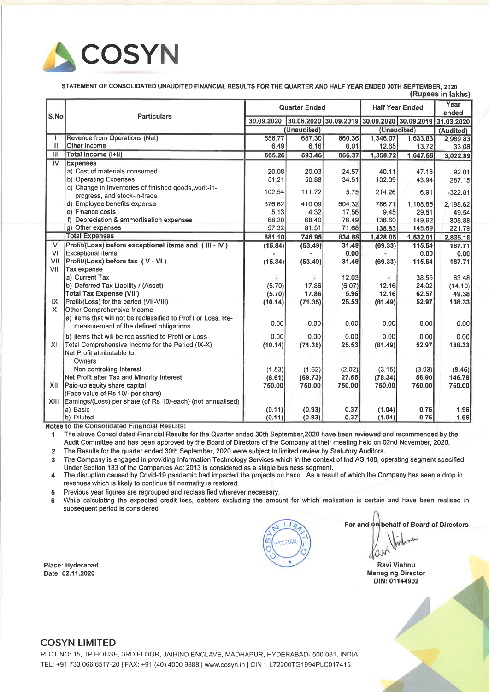

STATEMENT OF CONSOLIDATED UNAUDITED FINANCIAL RESULTS FOR THE QUARTER AND HALF YEAR ENDED 30TH SEPTEMBER, <sup>2020</sup>

|                         |                                                                                                          |                      |             |                                                        |                        |              | (Rupees in lakhs) |
|-------------------------|----------------------------------------------------------------------------------------------------------|----------------------|-------------|--------------------------------------------------------|------------------------|--------------|-------------------|
| S.No                    | <b>Particulars</b>                                                                                       | <b>Quarter Ended</b> |             |                                                        | <b>Half Year Ended</b> |              | Year<br>ended     |
|                         |                                                                                                          | 30.09.2020           |             | 30.06.2020 30.09.2019 30.09.2020 30.09.2019 31.03.2020 |                        |              |                   |
|                         |                                                                                                          |                      | (Unaudited) |                                                        |                        | (Unaudited)  | (Audited)         |
|                         | Revenue from Operations (Net)                                                                            | 658.77               | 687.30      | 860.36                                                 | 1,346.07               | 1,633.83     | 2,989.83          |
| п                       | Other Income                                                                                             | 6.49                 | 6.16        | 6.01                                                   | 12.65                  | 13.72        | 33.06             |
| ĨĨ                      | Total Income (I+II)                                                                                      | 665.26               | 693.46      | 866.37                                                 | 1,358.72               | 1,647.55     | 3,022.89          |
| $\overline{N}$          | <b>Expenses</b>                                                                                          |                      |             |                                                        |                        |              |                   |
|                         | a) Cost of materials consumed                                                                            | 20.08                | 20.03       | 24.57                                                  | 40.11                  | 47.18        | 92.01             |
|                         | b) Operating Expenses                                                                                    | 51-21                | 50.88       | 34.51                                                  | 102.09                 | 43.94        | 287.15            |
|                         | c) Change in Inventories of finished goods, work-in-<br>progress, and stock-in-trade                     | 102.54               | 111.72      | 5.75                                                   | 214.26                 | 6.91         | $-322.81$         |
|                         | d) Employee benefits expense                                                                             | 376.62               | 410.09      | 604.32                                                 | 786.71                 | 1,108.86     | 2,198.62          |
|                         | e) Finance costs                                                                                         | 5.13                 | 4.32        | 17.56                                                  | 9.45                   | 29.51        | 49.54             |
|                         | f) Depreciation & ammortisation expenses                                                                 | 68.20                | 68.40       | 76.49                                                  | 136.60                 | 149.92       | 308.88            |
|                         | g) Other expenses                                                                                        | 57.32                | 81.51       | 71.68                                                  | 138.83                 | 145.69       | 221.79            |
|                         | <b>Total Expenses</b>                                                                                    | 681.10               | 746.95      | 834.88                                                 | 1,428.05               | 1,532.01     | 2,835.18          |
| $\overline{\mathsf{V}}$ | <b>Profit/(Loss) before exceptional items and (III - IV)</b>                                             | (15.84)              | (53.49)     | 31.49                                                  | (69.33)                | 115.54       | 187.71            |
| <b>VI</b>               | <b>Exceptional items</b>                                                                                 |                      |             | 0.00                                                   |                        | 0.00         | 0.00              |
| VII                     | Profit/(Loss) before tax (V - VI)                                                                        | (15.84)              | (53.49)     | 31.49                                                  | (69.33)                | 115.54       | 187.71            |
| VIII                    | Tax expense                                                                                              |                      |             |                                                        |                        |              |                   |
|                         | a) Current Tax                                                                                           |                      |             | 12.03                                                  |                        | 38.55        | 63.48             |
|                         | b) Deferred Tax Liability / (Asset)                                                                      | (5.70)               | 17.86       | (6.07)                                                 | 12.16                  | 24.02        | (14.10)           |
|                         | <b>Total Tax Expense (VIII)</b>                                                                          | (5.70)               | 17.86       | 5.96                                                   | 12.16                  | 62.57        | 49.38             |
| IX.                     | Profit/(Loss) for the period (VII-VIII)                                                                  | (10.14)              | (71.35)     | 25.53                                                  | (81.49)                | 52.97        | 138.33            |
| $\mathsf{x}$            | Other Comprehensive Income                                                                               |                      |             |                                                        |                        |              |                   |
|                         | a) items that will not be reclassified to Profit or Loss, Re-<br>measurement of the defined obligations. | 0.00                 | 0.00        | 0.00                                                   | 0.00                   | 0.00         | 0.00              |
|                         | b) items that will be reclassified to Profit or Loss                                                     | 0.00                 | 0.00        | 0.00                                                   | 0.00                   | 0.00         | 0.00              |
| X                       | Total Comprehensive Income for the Period (IX-X)<br>Net Profit attributable to:                          | (10.14)              | (71.35)     | 25.53                                                  | (81.49)                | 52.97        | 138.33            |
|                         | Owners                                                                                                   |                      |             |                                                        |                        |              |                   |
|                         | Non controlling Interest                                                                                 | (1.53)               | (1.62)      | (2.02)                                                 | (3.15)                 | (3.93)       | (8.45)            |
|                         | Net Profit after Tax and Minority Interest                                                               | (8.61)               | (69.73)     | 27.55                                                  | (78.34)                | <b>56.90</b> | 146.78            |
| XII                     | Paid-up equity share capital                                                                             | 750.00               | 750.00      | 750.00                                                 | 750.00                 | 750,00       | 750.00            |
|                         | (Face value of Rs 10/- per share)                                                                        |                      |             |                                                        |                        |              |                   |
| XIII                    | Earnings/(Loss) per share (of Rs 10/-each) (not annualised)                                              |                      |             |                                                        |                        |              |                   |
|                         | a) Basic                                                                                                 | (0.11)               | (0.93)      | 0.37                                                   | (1.04)                 | 0.76         | 1.96              |
|                         | b) Diluted                                                                                               | (0.11)               | (0.93)      | 0.37                                                   | (1.04)                 | 0.76         | 1.96              |

Notes to the Consolidated Financial Results:

<sup>1</sup> The above Consolidated Financial Results for the Quarter ended 30th September,2020 have been reviewed and recommended by the Audit Committee and has been approved by the Board of Directors of the Company at their meeting held on 02nd November, 2020.

2 The Results for the quarter ended 30th September, 2020 were subject to limited review by Statutory Auditors.

<sup>3</sup> The Company is engaged in providing lnfonnation Technology Services which in the context of Ind AS 108, operating segmen<sup>t</sup> specified Under Section <sup>133</sup> of the Companies Act,2013 is considered as <sup>a</sup> single business segment.

<sup>4</sup> The disruption caused by Covid-19 pandemic had impacted the projects on hand. As <sup>a</sup> result of which the Company has seen <sup>a</sup> drop in revenues which is likely to continue till normality is restored.

<sup>5</sup> Previous year figures are regrouped and reclassified wherever necessary.

For and on behalf of Board of Directors <sup>6</sup> While calculating the expected credit loss, debtors excluding the amount for which realisation is certain and have been realised in subsequent period is considered

Place: Hyderabad Date: 02.11.2020

#### COSYN LIMITED

Ravi Vishnu

Managing Director DIN: 01144902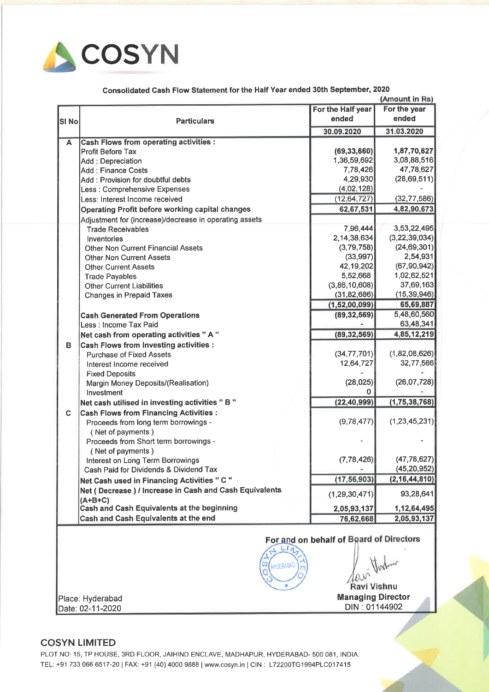

Consolidated Cash Flow Statement for the Half Year ended 30th September, <sup>2020</sup>

|                        | (Amount in Rs)                                         |                   |                  |  |  |
|------------------------|--------------------------------------------------------|-------------------|------------------|--|--|
|                        |                                                        | For the Half year | For the year     |  |  |
| SI <sub>No</sub>       | <b>Particulars</b>                                     | ended             | ended            |  |  |
|                        |                                                        | 30.09.2020        | 31.03.2020       |  |  |
| A                      | <b>Cash Flows from operating activities :</b>          |                   |                  |  |  |
|                        | <b>Profit Before Tax</b>                               | (69, 33, 660)     | 1,87,70,627      |  |  |
|                        | Add: Depreciation                                      | 1,36,59,692       | 3,08,88,516      |  |  |
|                        | <b>Add: Finance Costs</b>                              | 7,78,426          | 47,78,627        |  |  |
|                        | Add: Provision for doubtful debts                      | 4,29,930          | (28, 69, 511)    |  |  |
|                        | Less : Comprehensive Expenses                          | (4,02,128)        |                  |  |  |
|                        | Less: Interest Income received                         | (12, 64, 727)     | (32, 77, 586)    |  |  |
|                        | Operating Profit before working capital changes        | 62,67,531         | 4,82,90,673      |  |  |
|                        | Adjustment for (increase)/decrease in operating assets |                   |                  |  |  |
|                        | <b>Trade Receivables</b>                               | 7,96,444          | 3,53,22,495      |  |  |
|                        | Inventories                                            | 2,14,38,634       | (3, 22, 39, 034) |  |  |
|                        | <b>Other Non Current Financial Assets</b>              | (3,79,758)        | (24, 69, 301)    |  |  |
|                        | <b>Other Non Current Assets</b>                        | (33, 997)         | 2,54,931         |  |  |
|                        | <b>Other Current Assets</b>                            | 42,19,202         | (67, 90, 942)    |  |  |
|                        | <b>Trade Payables</b>                                  | 5,52,668          | 1,02,62,521      |  |  |
|                        | <b>Other Current Liabilities</b>                       | (3,86,10,608)     | 37,69,163        |  |  |
|                        | <b>Changes in Prepaid Taxes</b>                        | (31, 82, 686)     | (15, 39, 946)    |  |  |
|                        |                                                        | (1,52,00,099)     | 65,69,887        |  |  |
|                        | <b>Cash Generated From Operations</b>                  | (89, 32, 569)     | 5,48,60,560      |  |  |
|                        | Less: Income Tax Paid                                  |                   | 63,48,341        |  |  |
|                        | Net cash from operating activities " A "               | (89, 32, 569)     | 4,85,12,219      |  |  |
| в                      | <b>Cash Flows from Investing activities:</b>           |                   |                  |  |  |
|                        | <b>Purchase of Fixed Assets</b>                        | (34, 77, 701)     | (1,82,08,626)    |  |  |
|                        | Interest Income received                               | 12,64,727         | 32,77,586        |  |  |
|                        | <b>Fixed Deposits</b>                                  |                   |                  |  |  |
|                        | Margin Money Deposits/(Realisation)                    | (28, 025)         | (26,07,728)      |  |  |
|                        | Investment                                             | O                 |                  |  |  |
|                        | Net cash utilised in investing activities "B"          | (22, 40, 999)     | (1, 75, 38, 768) |  |  |
| C                      | <b>Cash Flows from Financing Activities:</b>           |                   |                  |  |  |
|                        | Proceeds from long term borrowings -                   | (9,78,477)        | (1, 23, 45, 231) |  |  |
|                        | (Net of payments)                                      |                   |                  |  |  |
|                        | Proceeds from Short term borrowings -                  |                   |                  |  |  |
|                        | (Net of payments)                                      |                   |                  |  |  |
|                        | Interest on Long Term Borrowings                       | (7, 78, 426)      | (47, 78, 627)    |  |  |
|                        | Cash Paid for Dividends & Dividend Tax                 |                   | (45, 20, 952)    |  |  |
|                        | Net Cash used in Financing Activities " C "            | (17, 56, 903)     | (2, 16, 44, 810) |  |  |
|                        | Net (Decrease) / Increase in Cash and Cash Equivalents | (1, 29, 30, 471)  | 93,28,641        |  |  |
|                        | $(A+B+C)$                                              |                   |                  |  |  |
|                        | Cash and Cash Equivalents at the beginning             | 2,05,93,137       | 1,12,64,495      |  |  |
|                        | Cash and Cash Equivalents at the end                   | 76,62,668         | 2,05,93,137      |  |  |
|                        | For and on behalf of Board of Directors                |                   |                  |  |  |
| Ø,<br><b>HYDERABAD</b> |                                                        |                   |                  |  |  |

Ravi Vishnu

,./

Place: Hyderabad **Managing Director Managing Director Date: 02-11-2020** DIN : 01144902

## COSYN LIMITED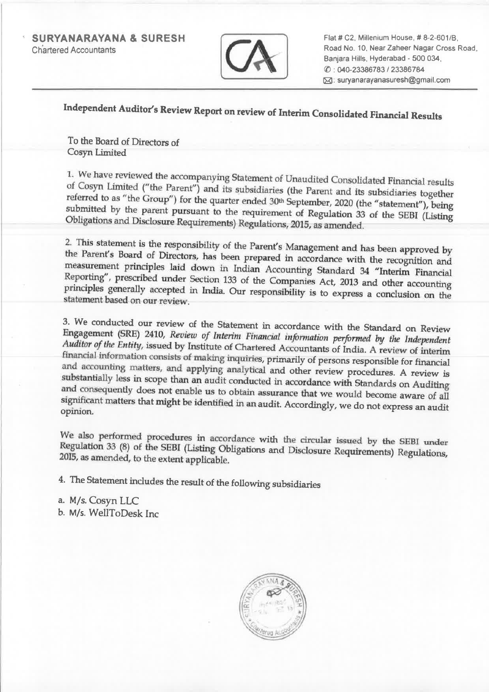SURYANARAYANA & SURESH **Chartered Accountants** 



Flat # C2, Millenium House, # 8-2-601/B, Road No. 10. Near Zaheer Nagar Cross Road, Banjara Hills. Hyderabad - <sup>500</sup> 034. (l) : 040-23386783 <sup>I</sup> <sup>23386784</sup> IBJ: suryanarayanasuresh@gmail.com

# Independent Auditor's Review Report on review of Interim Consolidated Financial Results

To the Board of Directors of Cosyn Limited

1. We have reviewed the accompanying Statement of Unaudited Consolidated Financial results of Cosyn Limited ("the Parent") and its subsidiaries (the Parent and its subsidiaries together referred to as "the Group") for the submitted by the parent pursuant to the requirement of Regulation 33 of the SEBI (Listing Obligations and Disclosure Requirements) Regulations, 2015, as amended.

2. This statement is the responsibility of the Parent's Management and has been approved by the Parent's Board of Directors, has been prepared in accordance with the recognition and measurement principles laid down in Indi

3. We conducted our review of the Statement in accordance with the Standard on Review Engagement (SRE) 2410, *Review of Interim Financial information performed by the Independent Auditor of the Entity,* issued by Institute substantially less in scope than an audit conducted in accordance with Standards on Auditing significant matters that might be identified in an audit. Accordingly, we do not express an audit opinion.

We also performed procedures in accordance with the circular issued by the SEBI under Regulation 33 (8) of the SEBI (Listing Obligations and Disclosure Requirements) Regulations, 2015, as amended, to the extent applicable.

4. The Statement includes the result of the following subsidiaries

a. M/s. Cosyn LLC b. M/s. WellToDesk Inc